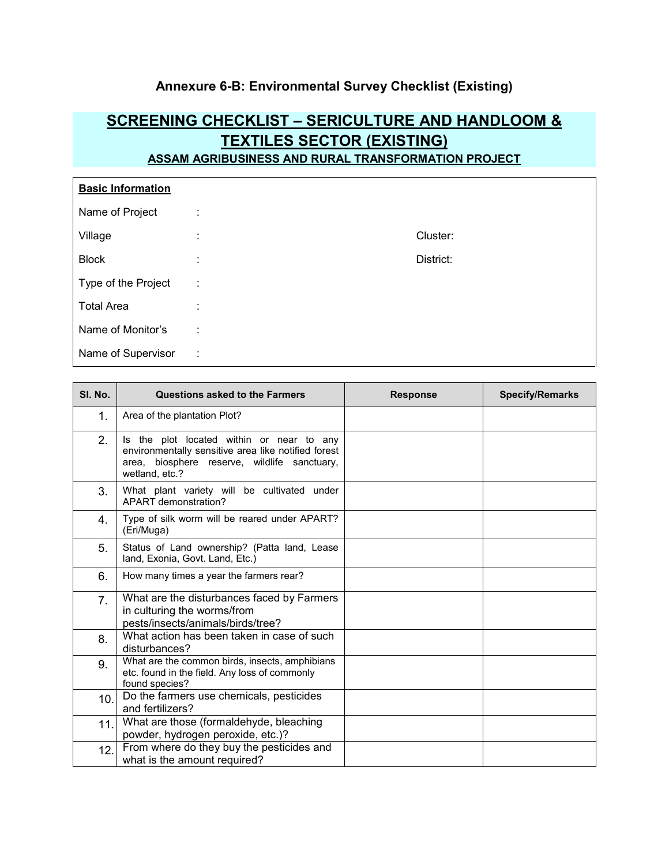## **Annexure 6-B: Environmental Survey Checklist (Existing)**

## **SCREENING CHECKLIST – SERICULTURE AND HANDLOOM & TEXTILES SECTOR (EXISTING) ASSAM AGRIBUSINESS AND RURAL TRANSFORMATION PROJECT**

| <b>Basic Information</b> |                   |           |
|--------------------------|-------------------|-----------|
| Name of Project          | ÷                 |           |
| Village                  | ٠<br>$\mathbf{r}$ | Cluster:  |
| <b>Block</b>             | ٠<br>$\mathbf{r}$ | District: |
| Type of the Project      | ÷                 |           |
| <b>Total Area</b>        | ٠                 |           |
| Name of Monitor's        | ÷                 |           |
| Name of Supervisor       | ÷                 |           |

| SI. No. | <b>Questions asked to the Farmers</b>                                                                                                                              | <b>Response</b> | <b>Specify/Remarks</b> |
|---------|--------------------------------------------------------------------------------------------------------------------------------------------------------------------|-----------------|------------------------|
| 1.      | Area of the plantation Plot?                                                                                                                                       |                 |                        |
| 2.      | Is the plot located within or near to any<br>environmentally sensitive area like notified forest<br>area, biosphere reserve, wildlife sanctuary,<br>wetland, etc.? |                 |                        |
| 3.      | What plant variety will be cultivated under<br>APART demonstration?                                                                                                |                 |                        |
| 4.      | Type of silk worm will be reared under APART?<br>(Eri/Muga)                                                                                                        |                 |                        |
| 5.      | Status of Land ownership? (Patta land, Lease<br>land, Exonia, Govt. Land, Etc.)                                                                                    |                 |                        |
| 6.      | How many times a year the farmers rear?                                                                                                                            |                 |                        |
| 7.      | What are the disturbances faced by Farmers<br>in culturing the worms/from<br>pests/insects/animals/birds/tree?                                                     |                 |                        |
| 8.      | What action has been taken in case of such<br>disturbances?                                                                                                        |                 |                        |
| 9.      | What are the common birds, insects, amphibians<br>etc. found in the field. Any loss of commonly<br>found species?                                                  |                 |                        |
| 10.     | Do the farmers use chemicals, pesticides<br>and fertilizers?                                                                                                       |                 |                        |
| 11.     | What are those (formaldehyde, bleaching<br>powder, hydrogen peroxide, etc.)?                                                                                       |                 |                        |
| 12.     | From where do they buy the pesticides and<br>what is the amount required?                                                                                          |                 |                        |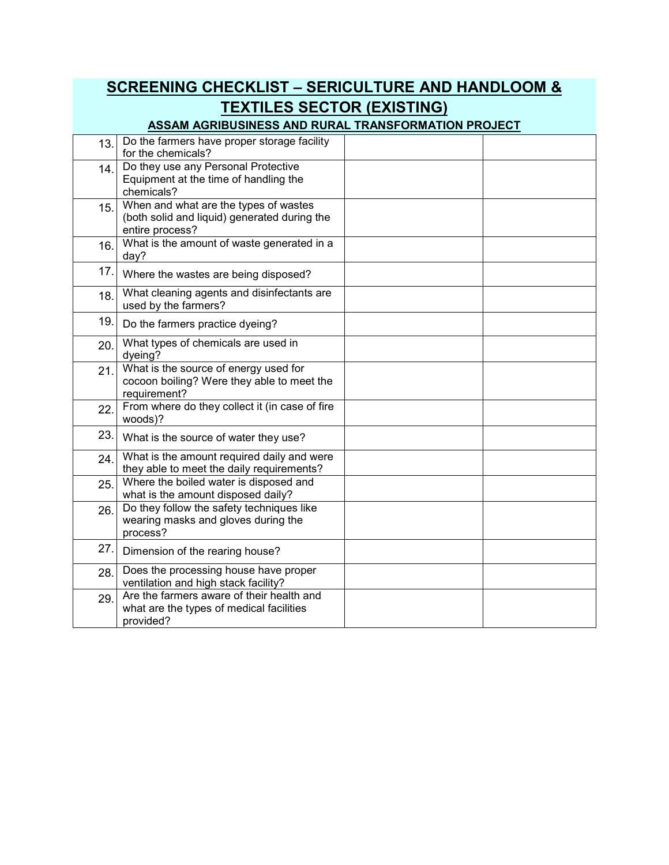| <u> SCREENING CHECKLIST – SERICULTURE AND HANDLOOM &amp;</u> |                                                                                                          |  |  |  |  |
|--------------------------------------------------------------|----------------------------------------------------------------------------------------------------------|--|--|--|--|
|                                                              | <b>TEXTILES SECTOR (EXISTING)</b>                                                                        |  |  |  |  |
|                                                              | ASSAM AGRIBUSINESS AND RURAL TRANSFORMATION PROJECT                                                      |  |  |  |  |
| 13.                                                          | Do the farmers have proper storage facility<br>for the chemicals?                                        |  |  |  |  |
| 14.                                                          | Do they use any Personal Protective<br>Equipment at the time of handling the<br>chemicals?               |  |  |  |  |
| 15.                                                          | When and what are the types of wastes<br>(both solid and liquid) generated during the<br>entire process? |  |  |  |  |
| 16.                                                          | What is the amount of waste generated in a<br>day?                                                       |  |  |  |  |
|                                                              | 17. Where the wastes are being disposed?                                                                 |  |  |  |  |
| 18.                                                          | What cleaning agents and disinfectants are<br>used by the farmers?                                       |  |  |  |  |
| 19.1                                                         | Do the farmers practice dyeing?                                                                          |  |  |  |  |
| 20.                                                          | What types of chemicals are used in<br>dyeing?                                                           |  |  |  |  |
| 21.                                                          | What is the source of energy used for<br>cocoon boiling? Were they able to meet the<br>requirement?      |  |  |  |  |
| 22.                                                          | From where do they collect it (in case of fire<br>woods)?                                                |  |  |  |  |
| 23.1                                                         | What is the source of water they use?                                                                    |  |  |  |  |
| 24.                                                          | What is the amount required daily and were<br>they able to meet the daily requirements?                  |  |  |  |  |
| 25.                                                          | Where the boiled water is disposed and<br>what is the amount disposed daily?                             |  |  |  |  |
| 26.                                                          | Do they follow the safety techniques like<br>wearing masks and gloves during the<br>process?             |  |  |  |  |
| 27.                                                          | Dimension of the rearing house?                                                                          |  |  |  |  |
| 28.                                                          | Does the processing house have proper<br>ventilation and high stack facility?                            |  |  |  |  |
| 29.                                                          | Are the farmers aware of their health and<br>what are the types of medical facilities<br>provided?       |  |  |  |  |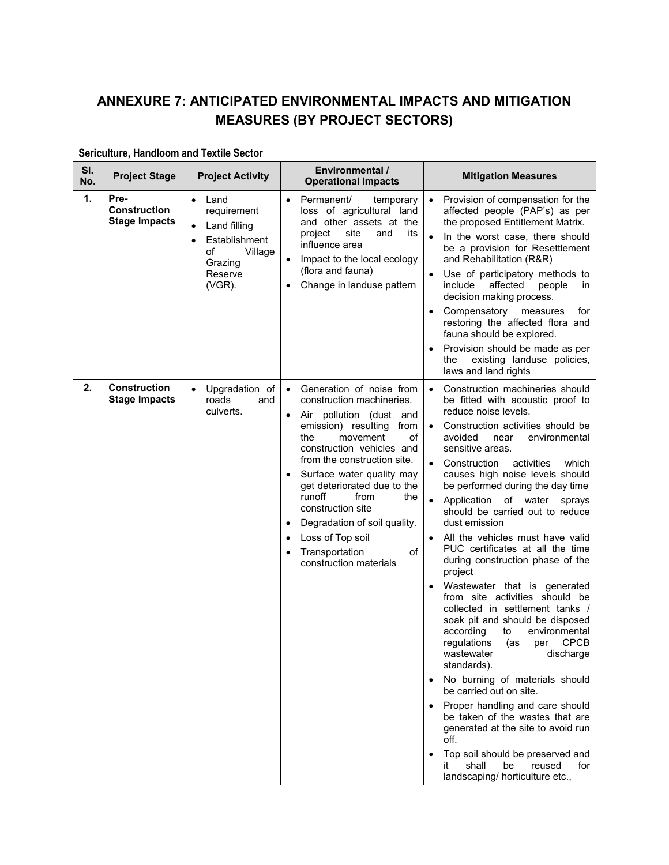## **ANNEXURE 7: ANTICIPATED ENVIRONMENTAL IMPACTS AND MITIGATION MEASURES (BY PROJECT SECTORS)**

| SI.<br>No. | <b>Project Stage</b>                                | <b>Project Activity</b>                                                                                               | <b>Environmental /</b><br><b>Operational Impacts</b>                                                                                                                                                                                                                                                                                                                                                                                                                     | <b>Mitigation Measures</b>                                                                                                                                                                                                                                                                                                                                                                                                                                                                                                                                                                                                                                                                                                                                                                                                                                                                                                                                                                                                                                                                                                                                 |
|------------|-----------------------------------------------------|-----------------------------------------------------------------------------------------------------------------------|--------------------------------------------------------------------------------------------------------------------------------------------------------------------------------------------------------------------------------------------------------------------------------------------------------------------------------------------------------------------------------------------------------------------------------------------------------------------------|------------------------------------------------------------------------------------------------------------------------------------------------------------------------------------------------------------------------------------------------------------------------------------------------------------------------------------------------------------------------------------------------------------------------------------------------------------------------------------------------------------------------------------------------------------------------------------------------------------------------------------------------------------------------------------------------------------------------------------------------------------------------------------------------------------------------------------------------------------------------------------------------------------------------------------------------------------------------------------------------------------------------------------------------------------------------------------------------------------------------------------------------------------|
| 1.         | Pre-<br><b>Construction</b><br><b>Stage Impacts</b> | Land<br>$\bullet$<br>requirement<br>Land filling<br>Establishment<br>of<br>Village<br>Grazing<br>Reserve<br>$(VGR)$ . | Permanent/<br>temporary<br>$\bullet$<br>loss of agricultural land<br>and other assets at the<br>project<br>site<br>its<br>and<br>influence area<br>Impact to the local ecology<br>$\bullet$<br>(flora and fauna)<br>Change in landuse pattern<br>$\bullet$                                                                                                                                                                                                               | Provision of compensation for the<br>affected people (PAP's) as per<br>the proposed Entitlement Matrix.<br>In the worst case, there should<br>be a provision for Resettlement<br>and Rehabilitation (R&R)<br>Use of participatory methods to<br>$\bullet$<br>affected<br>include<br>people<br>in.<br>decision making process.<br>Compensatory<br>measures<br>for<br>restoring the affected flora and<br>fauna should be explored.<br>Provision should be made as per<br>existing landuse policies,<br>the<br>laws and land rights                                                                                                                                                                                                                                                                                                                                                                                                                                                                                                                                                                                                                          |
| 2.         | <b>Construction</b><br><b>Stage Impacts</b>         | Upgradation of<br>$\bullet$<br>roads<br>and<br>culverts.                                                              | Generation of noise from<br>construction machineries.<br>Air pollution (dust and<br>$\bullet$<br>emission) resulting<br>from<br>movement<br>οf<br>the<br>construction vehicles and<br>from the construction site.<br>Surface water quality may<br>get deteriorated due to the<br>runoff<br>from<br>the<br>construction site<br>Degradation of soil quality.<br>$\bullet$<br>Loss of Top soil<br>$\bullet$<br>Transportation<br>οf<br>$\bullet$<br>construction materials | Construction machineries should<br>$\bullet$<br>be fitted with acoustic proof to<br>reduce noise levels.<br>Construction activities should be<br>$\bullet$<br>avoided<br>environmental<br>near<br>sensitive areas.<br>activities<br>Construction<br>which<br>$\bullet$<br>causes high noise levels should<br>be performed during the day time<br>Application<br>of water<br>sprays<br>should be carried out to reduce<br>dust emission<br>All the vehicles must have valid<br>PUC certificates at all the time<br>during construction phase of the<br>project<br>Wastewater that is generated<br>from site activities should be<br>collected in settlement tanks /<br>soak pit and should be disposed<br>according<br>to<br>environmental<br><b>CPCB</b><br>regulations<br>(as<br>per<br>discharge<br>wastewater<br>standards).<br>No burning of materials should<br>$\bullet$<br>be carried out on site.<br>• Proper handling and care should<br>be taken of the wastes that are<br>generated at the site to avoid run<br>off.<br>Top soil should be preserved and<br>$\bullet$<br>shall<br>be<br>reused<br>for<br>it.<br>landscaping/ horticulture etc., |

## **Sericulture, Handloom and Textile Sector**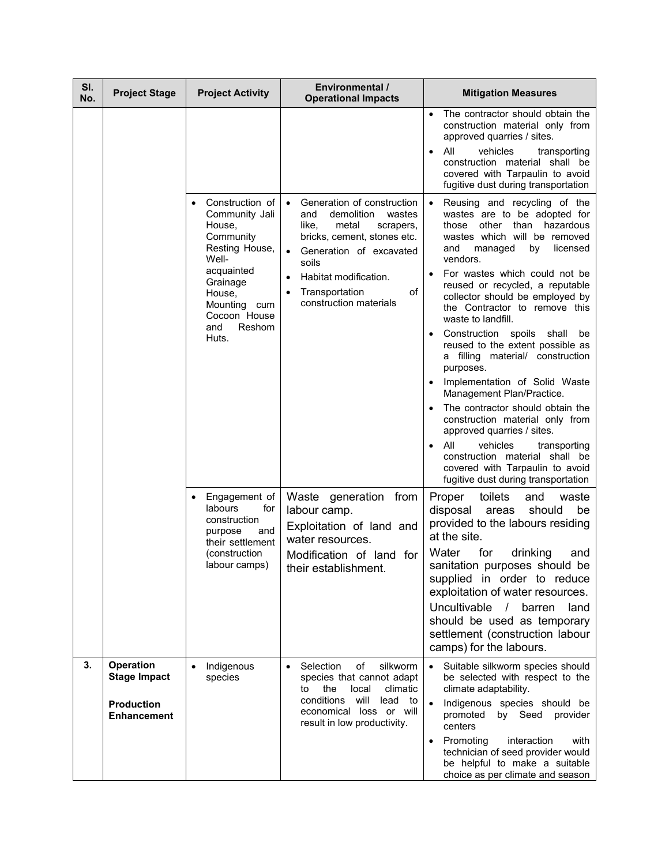| SI.<br>No. | <b>Project Stage</b>                    | <b>Project Activity</b>                                                                            | <b>Environmental /</b><br><b>Operational Impacts</b>                                                                                                                     | <b>Mitigation Measures</b>                                                                                                                                                    |
|------------|-----------------------------------------|----------------------------------------------------------------------------------------------------|--------------------------------------------------------------------------------------------------------------------------------------------------------------------------|-------------------------------------------------------------------------------------------------------------------------------------------------------------------------------|
|            |                                         |                                                                                                    |                                                                                                                                                                          | The contractor should obtain the<br>$\bullet$<br>construction material only from<br>approved quarries / sites.                                                                |
|            |                                         |                                                                                                    |                                                                                                                                                                          | All<br>vehicles<br>transporting<br>construction material shall be<br>covered with Tarpaulin to avoid<br>fugitive dust during transportation                                   |
|            |                                         | Construction of<br>$\bullet$<br>Community Jali<br>House,<br>Community<br>Resting House,<br>Well-   | Generation of construction<br>demolition<br>and<br>wastes<br>like,<br>metal<br>scrapers,<br>bricks, cement, stones etc.<br>Generation of excavated<br>$\bullet$<br>soils | Reusing and recycling of the<br>wastes are to be adopted for<br>other than hazardous<br>those<br>wastes which will be removed<br>and<br>managed<br>licensed<br>by<br>vendors. |
|            |                                         | acquainted<br>Grainage<br>House,<br>Mounting cum<br>Cocoon House<br>Reshom<br>and                  | Habitat modification.<br>Transportation<br>οf<br>$\bullet$<br>construction materials                                                                                     | For wastes which could not be<br>reused or recycled, a reputable<br>collector should be employed by<br>the Contractor to remove this<br>waste to landfill.                    |
|            |                                         | Huts.                                                                                              |                                                                                                                                                                          | Construction spoils<br>shall<br>be<br>reused to the extent possible as<br>a filling material/ construction<br>purposes.                                                       |
|            |                                         |                                                                                                    |                                                                                                                                                                          | Implementation of Solid Waste<br>Management Plan/Practice.                                                                                                                    |
|            |                                         |                                                                                                    |                                                                                                                                                                          | The contractor should obtain the<br>construction material only from<br>approved quarries / sites.                                                                             |
|            |                                         |                                                                                                    |                                                                                                                                                                          | All<br>vehicles<br>transporting<br>٠<br>construction material shall be<br>covered with Tarpaulin to avoid<br>fugitive dust during transportation                              |
|            |                                         | Engagement of<br>$\bullet$<br>labours<br>for<br>construction<br>purpose<br>and<br>their settlement | Waste generation from<br>labour camp.<br>Exploitation of land and<br>water resources.                                                                                    | Proper<br>toilets<br>and<br>waste<br>disposal<br>should<br>areas<br>be<br>provided to the labours residing<br>at the site.                                                    |
|            |                                         | (construction<br>labour camps)                                                                     | Modification of land for<br>their establishment.                                                                                                                         | Water<br>for<br>drinking<br>and<br>sanitation purposes should be<br>supplied in order to reduce<br>exploitation of water resources.                                           |
|            |                                         |                                                                                                    |                                                                                                                                                                          | Uncultivable<br>$\frac{1}{2}$<br>barren<br>land<br>should be used as temporary<br>settlement (construction labour<br>camps) for the labours.                                  |
| 3.         | <b>Operation</b><br><b>Stage Impact</b> | Indigenous<br>$\bullet$<br>species                                                                 | Selection<br>of<br>silkworm<br>$\bullet$<br>species that cannot adapt<br>local<br>climatic<br>the<br>to                                                                  | Suitable silkworm species should<br>be selected with respect to the<br>climate adaptability.                                                                                  |
|            | <b>Production</b><br><b>Enhancement</b> |                                                                                                    | conditions<br>will<br>lead<br>to<br>economical loss or will<br>result in low productivity.                                                                               | Indigenous species should be<br>promoted<br>by Seed<br>provider<br>centers                                                                                                    |
|            |                                         |                                                                                                    |                                                                                                                                                                          | Promoting<br>interaction<br>with<br>$\bullet$<br>technician of seed provider would<br>be helpful to make a suitable<br>choice as per climate and season                       |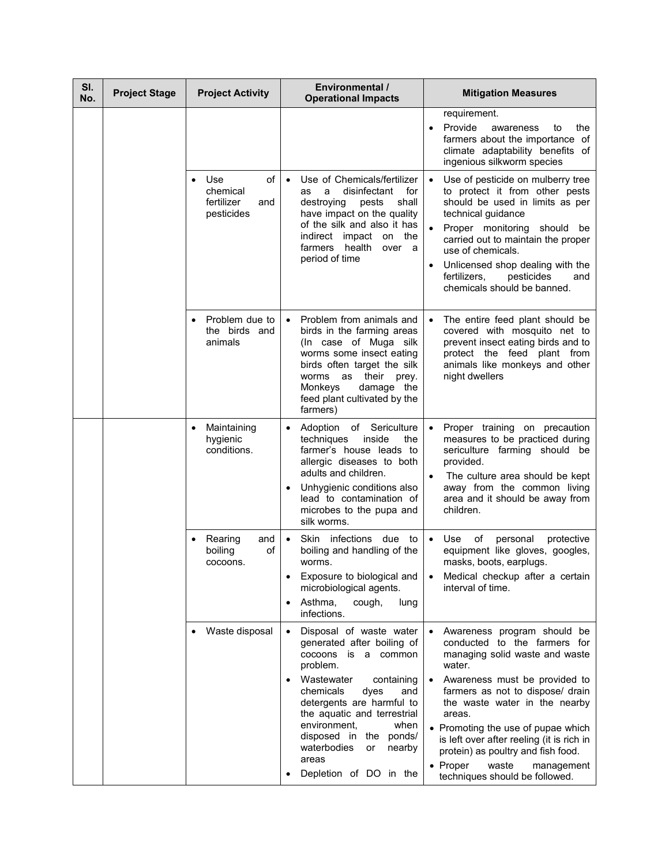| SI.<br>No. | <b>Project Stage</b> | <b>Project Activity</b>                                               | Environmental /<br><b>Operational Impacts</b>                                                                                                                                                                                                                                                                                                      | <b>Mitigation Measures</b>                                                                                                                                                                                                                                                                                                                                                                                            |
|------------|----------------------|-----------------------------------------------------------------------|----------------------------------------------------------------------------------------------------------------------------------------------------------------------------------------------------------------------------------------------------------------------------------------------------------------------------------------------------|-----------------------------------------------------------------------------------------------------------------------------------------------------------------------------------------------------------------------------------------------------------------------------------------------------------------------------------------------------------------------------------------------------------------------|
|            |                      |                                                                       |                                                                                                                                                                                                                                                                                                                                                    | requirement.<br>Provide<br>awareness<br>the<br>to<br>farmers about the importance of<br>climate adaptability benefits of<br>ingenious silkworm species                                                                                                                                                                                                                                                                |
|            |                      | Use<br>of<br>$\bullet$<br>chemical<br>fertilizer<br>and<br>pesticides | Use of Chemicals/fertilizer<br>$\bullet$<br>disinfectant<br>a<br>for<br>as<br>destroying<br>shall<br>pests<br>have impact on the quality<br>of the silk and also it has<br>indirect impact<br>on the<br>health<br>farmers<br>over a<br>period of time                                                                                              | Use of pesticide on mulberry tree<br>to protect it from other pests<br>should be used in limits as per<br>technical guidance<br>Proper monitoring<br>should be<br>carried out to maintain the proper<br>use of chemicals.<br>Unlicensed shop dealing with the<br>$\bullet$<br>fertilizers,<br>pesticides<br>and<br>chemicals should be banned.                                                                        |
|            |                      | Problem due to<br>the birds and<br>animals                            | Problem from animals and<br>$\bullet$<br>birds in the farming areas<br>(In case of Muga silk<br>worms some insect eating<br>birds often target the silk<br>their<br>worms<br>as<br>prey.<br>damage the<br>Monkeys<br>feed plant cultivated by the<br>farmers)                                                                                      | The entire feed plant should be<br>covered with mosquito net to<br>prevent insect eating birds and to<br>protect the feed plant from<br>animals like monkeys and other<br>night dwellers                                                                                                                                                                                                                              |
|            |                      | Maintaining<br>$\bullet$<br>hygienic<br>conditions.                   | of Sericulture<br>Adoption<br>$\bullet$<br>techniques<br>inside<br>the<br>farmer's house leads to<br>allergic diseases to both<br>adults and children.<br>Unhygienic conditions also<br>$\bullet$<br>lead to contamination of<br>microbes to the pupa and<br>silk worms.                                                                           | Proper training on precaution<br>measures to be practiced during<br>sericulture farming should be<br>provided.<br>The culture area should be kept<br>away from the common living<br>area and it should be away from<br>children.                                                                                                                                                                                      |
|            |                      | Rearing<br>and<br>οf<br>boiling<br>cocoons.                           | Skin infections due to<br>$\bullet$<br>boiling and handling of the<br>worms.<br>Exposure to biological and<br>microbiological agents.<br>Asthma,<br>cough,<br>lung<br>٠<br>infections.                                                                                                                                                             | Use<br>of<br>personal<br>protective<br>$\bullet$<br>equipment like gloves, googles,<br>masks, boots, earplugs.<br>Medical checkup after a certain<br>interval of time.                                                                                                                                                                                                                                                |
|            |                      | Waste disposal                                                        | Disposal of waste water<br>$\bullet$<br>generated after boiling of<br>cocoons is a common<br>problem.<br>Wastewater<br>containing<br>٠<br>chemicals<br>dyes<br>and<br>detergents are harmful to<br>the aquatic and terrestrial<br>environment,<br>when<br>disposed in the ponds/<br>waterbodies<br>nearby<br>or<br>areas<br>Depletion of DO in the | Awareness program should be<br>conducted to the farmers for<br>managing solid waste and waste<br>water.<br>Awareness must be provided to<br>farmers as not to dispose/ drain<br>the waste water in the nearby<br>areas.<br>• Promoting the use of pupae which<br>is left over after reeling (it is rich in<br>protein) as poultry and fish food.<br>• Proper<br>waste<br>management<br>techniques should be followed. |